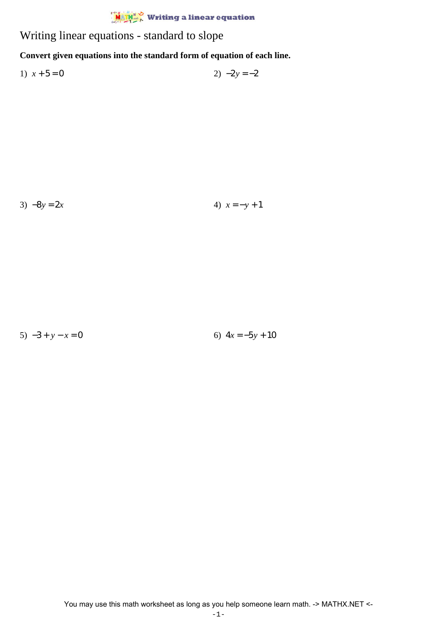## $\frac{\dot{M}}{\dot{M}}$  Writing a linear equation

Writing linear equations - standard to slope

## **Convert given equations into the standard form of equation of each line.**

1)  $x + 5 = 0$  2)  $-2y = -2$ 

3)  $-8y = 2x$  4)  $x = -y + 1$ 

5)  $-3 + y - x = 0$  6)  $4x = -5y + 10$ 

You may use this math worksheet as long as you help someone learn math. -> MATHX.NET <-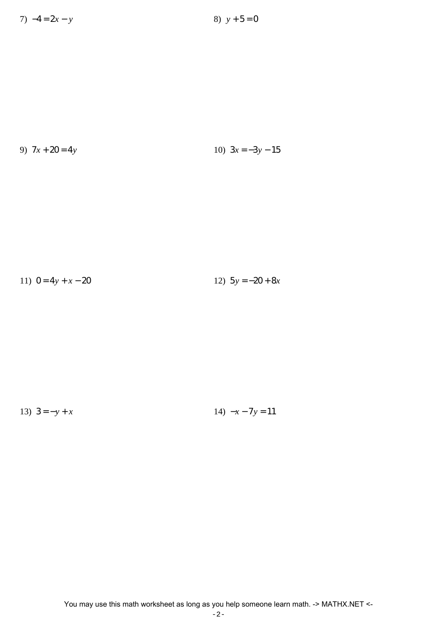7)  $-4 = 2x - y$  8)  $y + 5 = 0$ 

9) 7*x* + 20 = 4*y* 10) 3*x* = −3*y* − 15

11)  $0 = 4y + x - 20$  12)  $5y = -20 + 8x$ 

13)  $3 = -y + x$  14)  $-x - 7y = 11$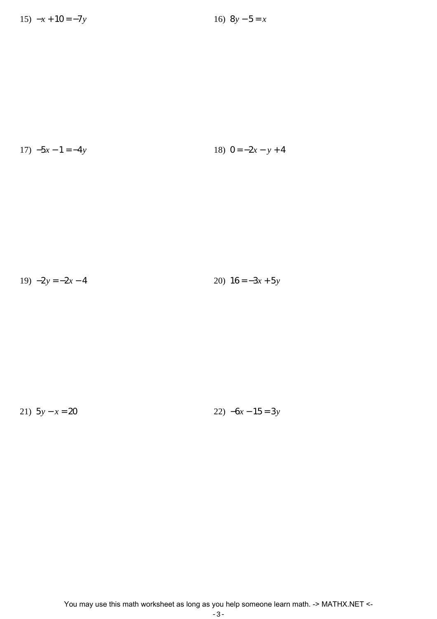$$
17) -5x - 1 = -4y \qquad \qquad 18) \quad 0 = -2x - y + 4
$$

$$
19) -2y = -2x - 4 \qquad \qquad 20) \ 16 = -3x + 5y
$$

21)  $5y - x = 20$ 

22)  $-6x - 15 = 3y$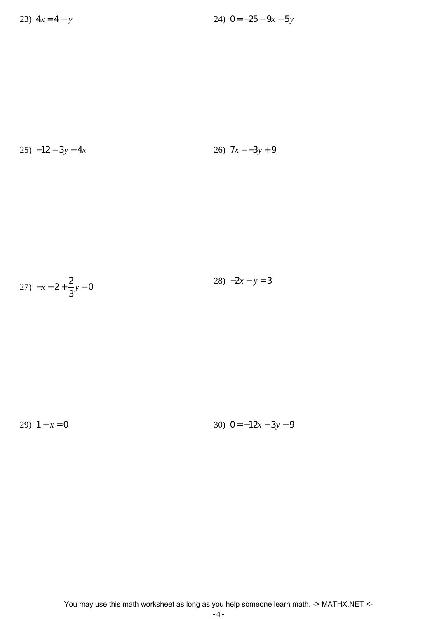$$
25) -12 = 3y - 4x \qquad 26) \quad 7x = -3y + 9
$$

$$
27) \ -x - 2 + \frac{2}{3}y = 0
$$

29)  $1 - x = 0$ 

30)  $0 = -12x - 3y - 9$